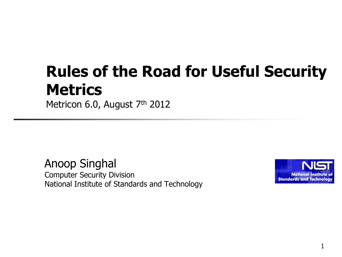## **Rules of the Road for Useful Security Metrics**

Metricon 6.0, August 7th 2012

Anoop Singhal Computer Security Division National Institute of Standards and Technology

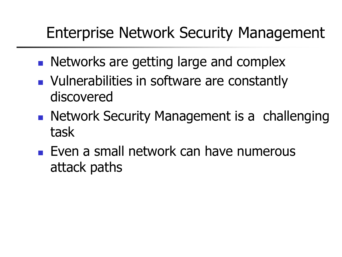## Enterprise Network Security Management

- **Networks are getting large and complex**
- **Nulnerabilities in software are constantly** discovered
- **Network Security Management is a challenging** task
- **Even a small network can have numerous** attack paths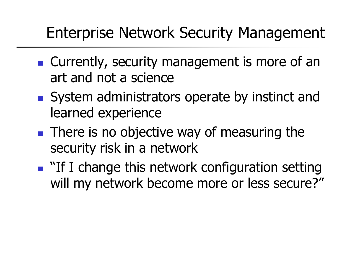#### Enterprise Network Security Management

- **Currently, security management is more of an** art and not a science
- System administrators operate by instinct and learned experience
- **There is no objective way of measuring the** security risk in a network
- **Theorem 11 I** change this network configuration setting will my network become more or less secure?"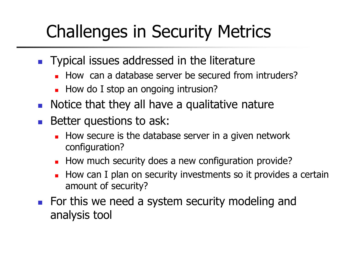# Challenges in Security Metrics

- **Typical issues addressed in the literature** 
	- How can a database server be secured from intruders?
	- How do I stop an ongoing intrusion?
- **Notice that they all have a qualitative nature**
- **Better questions to ask:** 
	- How secure is the database server in a given network configuration?
	- How much security does a new configuration provide?
	- How can I plan on security investments so it provides a certain amount of security?
- **For this we need a system security modeling and** analysis tool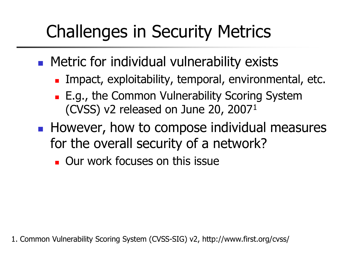# Challenges in Security Metrics

- **Metric for individual vulnerability exists** 
	- **Impact, exploitability, temporal, environmental, etc.**
	- **E.g., the Common Vulnerability Scoring System** (CVSS) v2 released on June 20, 2007<sup>1</sup>
- **However, how to compose individual measures** for the overall security of a network?
	- **OUT work focuses on this issue**

1. Common Vulnerability Scoring System (CVSS-SIG) v2, http://www.first.org/cvss/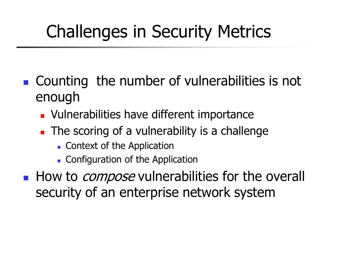# Challenges in Security Metrics

- Counting the number of vulnerabilities is not enough
	- **U** Vulnerabilities have different importance
	- **The scoring of a vulnerability is a challenge** 
		- **Context of the Application**
		- **Configuration of the Application**
- How to *compose* vulnerabilities for the overall security of an enterprise network system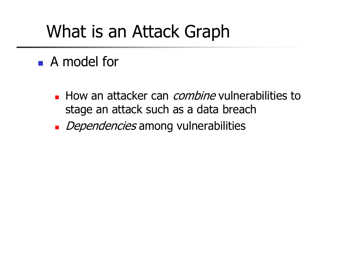## What is an Attack Graph

#### **A** model for

- **How an attacker can** *combine* vulnerabilities to stage an attack such as a data breach
- Dependencies among vulnerabilities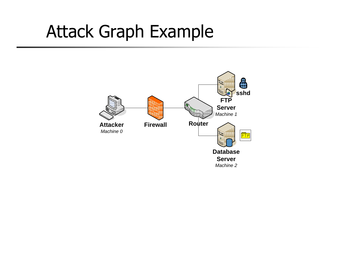## Attack Graph Example

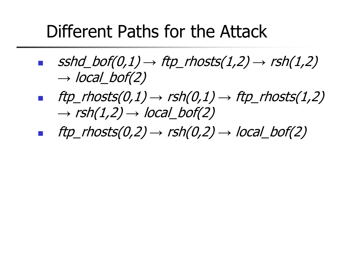## Different Paths for the Attack

- $sshd\_bof(0,1) \rightarrow ftp\_rhosts(1,2) \rightarrow rsh(1,2)$  $\rightarrow$  local bof(2)
- **f** ftp\_rhosts(0,1)  $\rightarrow$  rsh(0,1)  $\rightarrow$  ftp\_rhosts(1,2)  $\rightarrow$  rsh(1,2)  $\rightarrow$  local bof(2)
- ftp\_rhosts(0,2)  $\rightarrow$  rsh(0,2)  $\rightarrow$  local\_bof(2)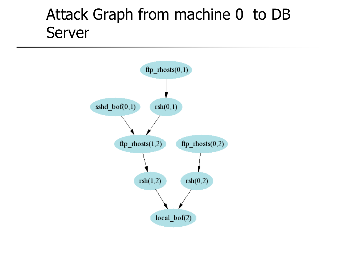#### Attack Graph from machine 0 to DB Server

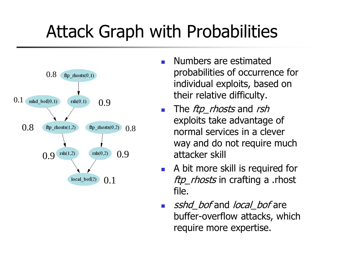# Attack Graph with Probabilities



- Numbers are estimated probabilities of occurrence for individual exploits, based on their relative difficulty.
- The  $ftp\_rhosts$  and rsh exploits take advantage of normal services in a clever way and do not require much attacker skill
- **A** bit more skill is required for ftp\_rhosts in crafting a .rhost file.
- sshd\_bof and local\_bof are buffer-overflow attacks, which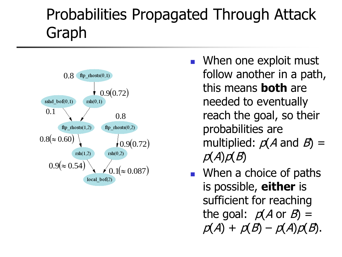## Probabilities Propagated Through Attack Graph



- **Notal Millens** One exploit must follow another in a path, this means **both** are needed to eventually reach the goal, so their probabilities are multiplied:  $p(A \text{ and } B)$  =  $p(A)p(B)$
- When a choice of paths is possible, **either** is sufficient for reaching the goal:  $p(A \text{ or } B) =$ <sup>0.8( $\approx$  0.60) (and 0.9(0.72) multiplied:  $p(A \text{ and } B) = p(A)p(B)$ <br>  $p(A)p(B)$ <br>  $\text{when a choice of paths is possible, either is sufficient for reaching the goal: } p(A \text{ or } B) = p(A) + p(B) - p(A)p(B).$ </sup>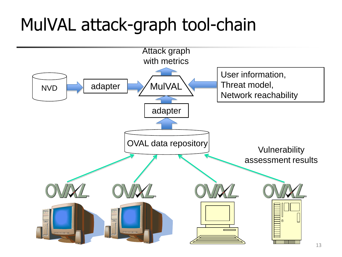# MulVAL attack-graph tool-chain